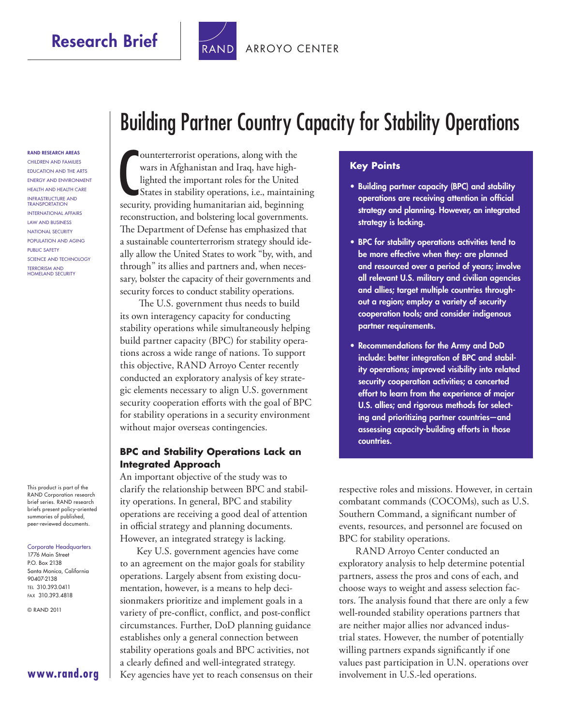Research Brief | TRAND [ARROYO CENTER](http://www.rand.org/pdfrd/ard/)



RAND RESEARCH AREAS Children and Families Education and the Arts Energy and Environment Health and Health Care Infrastructure and **TRANSPORTATION INTERNATIONAL AFFAIRS** Law and Business National Security Population and Aging Public Safety Science and Technology Terrorism and Homeland Security

This product is part of the RAND Corporation research brief series. RAND research briefs present policy-oriented summaries of published, peer-reviewed documents.

#### Corporate Headquarters

1776 Main Street P.O. Box 2138 Santa Monica, California 90407-2138 Tel 310.393.0411 Fax 310.393.4818

© RAND 2011

# Building Partner Country Capacity for Stability Operations

**CONTRETT CONTRETT:** CONTRETT ON THE WATER SURFACT UNIT UP In the United States in stability operations, i.e., maintaining security, providing humanitarian aid, beginning ounterterrorist operations, along with the wars in Afghanistan and Iraq, have highlighted the important roles for the United States in stability operations, i.e., maintaining reconstruction, and bolstering local governments. The Department of Defense has emphasized that a sustainable counterterrorism strategy should ideally allow the United States to work "by, with, and through" its allies and partners and, when necessary, bolster the capacity of their governments and security forces to conduct stability operations.

 The U.S. government thus needs to build its own interagency capacity for conducting stability operations while simultaneously helping build partner capacity (BPC) for stability operations across a wide range of nations. To support this objective, RAND Arroyo Center recently conducted an exploratory analysis of key strategic elements necessary to align U.S. government security cooperation efforts with the goal of BPC for stability operations in a security environment without major overseas contingencies.

#### **BPC and Stability Operations Lack an Integrated Approach**

An important objective of the study was to clarify the relationship between BPC and stability operations. In general, BPC and stability operations are receiving a good deal of attention in official strategy and planning documents. However, an integrated strategy is lacking.

Key U.S. government agencies have come to an agreement on the major goals for stability operations. Largely absent from existing documentation, however, is a means to help decisionmakers prioritize and implement goals in a variety of pre-conflict, conflict, and post-conflict circumstances. Further, DoD planning guidance establishes only a general connection between stability operations goals and BPC activities, not a clearly defined and well-integrated strategy. Key agencies have yet to reach consensus on their

#### **Key Points**

- Building partner capacity (BPC) and stability operations are receiving attention in official strategy and planning. However, an integrated strategy is lacking.
- BPC for stability operations activities tend to be more effective when they: are planned and resourced over a period of years; involve all relevant U.S. military and civilian agencies and allies; target multiple countries throughout a region; employ a variety of security cooperation tools; and consider indigenous partner requirements.
- Recommendations for the Army and DoD include: better integration of BPC and stability operations; improved visibility into related security cooperation activities; a concerted effort to learn from the experience of major U.S. allies; and rigorous methods for selecting and prioritizing partner countries—and assessing capacity-building efforts in those countries.

respective roles and missions. However, in certain combatant commands (COCOMs), such as U.S. Southern Command, a significant number of events, resources, and personnel are focused on BPC for stability operations.

RAND Arroyo Center conducted an exploratory analysis to help determine potential partners, assess the pros and cons of each, and choose ways to weight and assess selection factors. The analysis found that there are only a few well-rounded stability operations partners that are neither major allies nor advanced industrial states. However, the number of potentially willing partners expands significantly if one values past participation in U.N. operations over involvement in U.S.-led operations.

**[www.rand.org](http://www.rand.org)**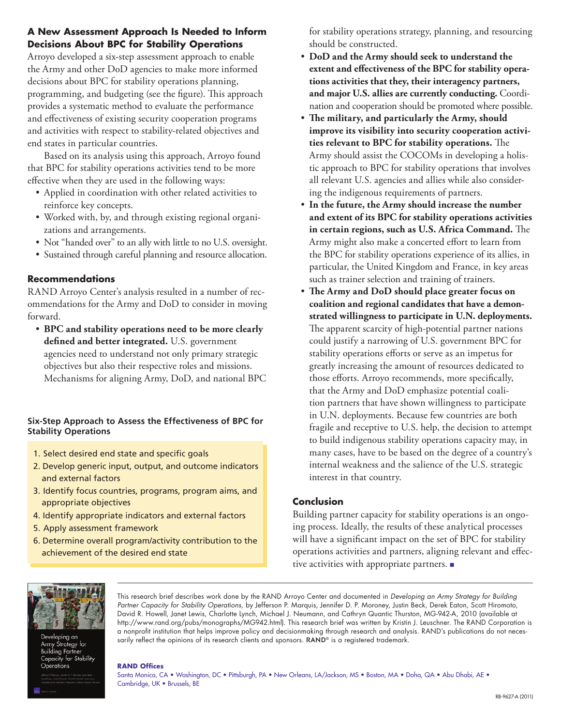#### **A New Assessment Approach Is Needed to Inform Decisions About BPC for Stability Operations**

Arroyo developed a six-step assessment approach to enable the Army and other DoD agencies to make more informed decisions about BPC for stability operations planning, programming, and budgeting (see the figure). This approach provides a systematic method to evaluate the performance and effectiveness of existing security cooperation programs and activities with respect to stability-related objectives and end states in particular countries.

Based on its analysis using this approach, Arroyo found that BPC for stability operations activities tend to be more effective when they are used in the following ways:

- Applied in coordination with other related activities to reinforce key concepts.
- Worked with, by, and through existing regional organizations and arrangements.
- Not "handed over" to an ally with little to no U.S. oversight.
- Sustained through careful planning and resource allocation.

#### **Recommendations**

RAND Arroyo Center's analysis resulted in a number of recommendations for the Army and DoD to consider in moving forward.

• **BPC and stability operations need to be more clearly defined and better integrated.** U.S. government agencies need to understand not only primary strategic objectives but also their respective roles and missions. Mechanisms for aligning Army, DoD, and national BPC

#### **Six-Step Approach to Assess the Effectiveness of BPC for Stability Operations**

- 1. Select desired end state and specific goals
- 2. Develop generic input, output, and outcome indicators and external factors
- 3. Identify focus countries, programs, program aims, and appropriate objectives
- 4. Identify appropriate indicators and external factors
- 5. Apply assessment framework
- 6. Determine overall program/activity contribution to the achievement of the desired end state

for stability operations strategy, planning, and resourcing should be constructed.

- **DoD and the Army should seek to understand the extent and effectiveness of the BPC for stability operations activities that they, their interagency partners, and major U.S. allies are currently conducting.** Coordination and cooperation should be promoted where possible.
- **The military, and particularly the Army, should improve its visibility into security cooperation activities relevant to BPC for stability operations.** The Army should assist the COCOMs in developing a holistic approach to BPC for stability operations that involves all relevant U.S. agencies and allies while also considering the indigenous requirements of partners.
- **In the future, the Army should increase the number and extent of its BPC for stability operations activities in certain regions, such as U.S. Africa Command.** The Army might also make a concerted effort to learn from the BPC for stability operations experience of its allies, in particular, the United Kingdom and France, in key areas such as trainer selection and training of trainers.
- **The Army and DoD should place greater focus on coalition and regional candidates that have a demonstrated willingness to participate in U.N. deployments.** The apparent scarcity of high-potential partner nations could justify a narrowing of U.S. government BPC for stability operations efforts or serve as an impetus for greatly increasing the amount of resources dedicated to those efforts. Arroyo recommends, more specifically, that the Army and DoD emphasize potential coalition partners that have shown willingness to participate in U.N. deployments. Because few countries are both fragile and receptive to U.S. help, the decision to attempt to build indigenous stability operations capacity may, in many cases, have to be based on the degree of a country's internal weakness and the salience of the U.S. strategic interest in that country.

#### **Conclusion**

Building partner capacity for stability operations is an ongoing process. Ideally, the results of these analytical processes will have a significant impact on the set of BPC for stability operations activities and partners, aligning relevant and effective activities with appropriate partners. ■



oping an Strategy for ng Partner apacity for Stability rations

This research brief describes work done by the RAND Arroyo Center and documented in *Developing an Army Strategy for Building Partner Capacity for Stability Operations*, by Jefferson P. Marquis, Jennifer D. P. Moroney, Justin Beck, Derek Eaton, Scott Hiromoto, David R. Howell, Janet Lewis, Charlotte Lynch, Michael J. Neumann, and Cathryn Quantic Thurston, MG-942-A, 2010 (available at [http://www.rand.org/pubs/monographs/MG942.html\)](http://www.rand.org/pubs/monographs/MG942.html). This research brief was written by Kristin J. Leuschner. The RAND Corporation is a nonprofit institution that helps improve policy and decisionmaking through research and analysis. RAND's publications do not necessarily reflect the opinions of its research clients and sponsors. RAND® is a registered trademark.

#### **RAND Offices**

Santa Monica, CA • Washington, DC • Pittsburgh, PA • New Orleans, LA/Jackson, MS • Boston, MA • Doha, QA • Abu Dhabi, AE • Cambridge, UK • Brussels, BE